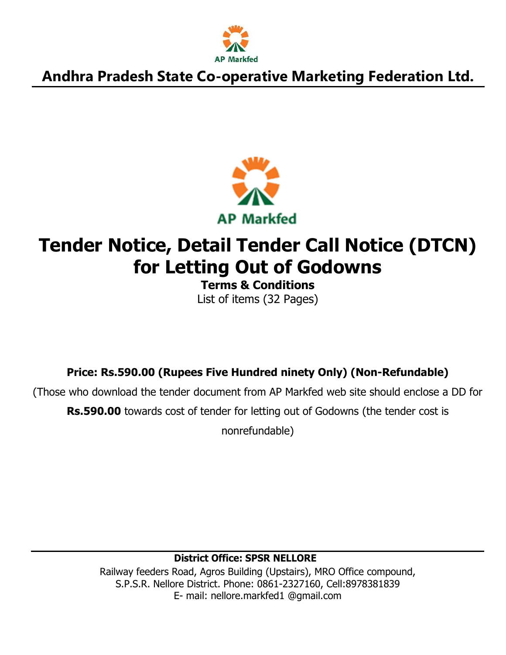



# **Tender Notice, Detail Tender Call Notice (DTCN) for Letting Out of Godowns**

**Terms & Conditions** List of items (32 Pages)

**Price: Rs.590.00 (Rupees Five Hundred ninety Only) (Non-Refundable)**

(Those who download the tender document from AP Markfed web site should enclose a DD for **Rs.590.00** towards cost of tender for letting out of Godowns (the tender cost is

nonrefundable)

### **District Office: SPSR NELLORE**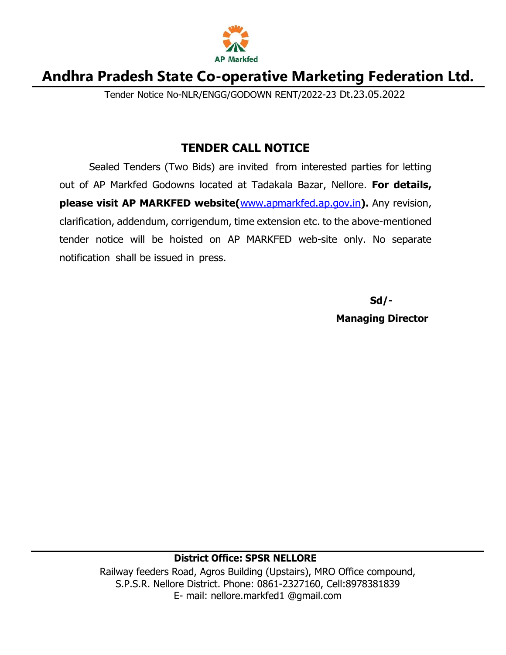

Tender Notice No-NLR/ENGG/GODOWN RENT/2022-23 Dt.23.05.2022

### **TENDER CALL NOTICE**

Sealed Tenders (Two Bids) are invited from interested parties for letting out of AP Markfed Godowns located at Tadakala Bazar, Nellore. **For details, please visit AP MARKFED website(**[www.apmarkfed.ap.gov.in](http://www.apmarkfed.in/)**).** Any revision, clarification, addendum, corrigendum, time extension etc. to the above-mentioned tender notice will be hoisted on AP MARKFED web-site only. No separate notification shall be issued in press.

**Sd/-**

**Managing Director**

#### **District Office: SPSR NELLORE**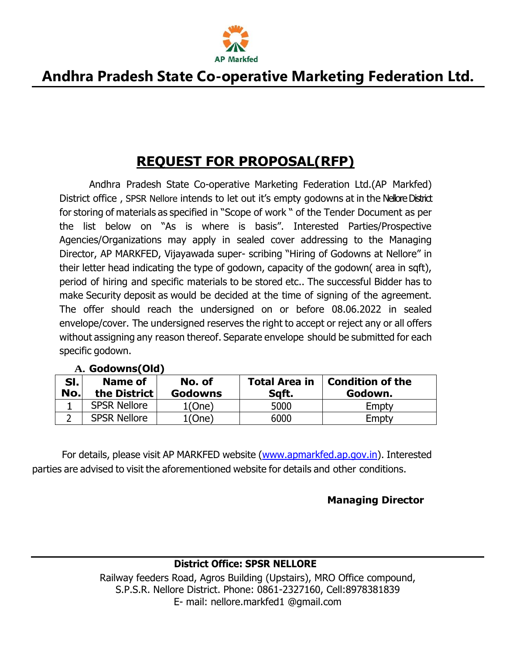

## **REQUEST FOR PROPOSAL(RFP)**

Andhra Pradesh State Co-operative Marketing Federation Ltd.(AP Markfed) District office , SPSR Nellore intends to let out it's empty godowns at in the Nellore District for storing of materials as specified in "Scope of work " of the Tender Document as per the list below on "As is where is basis". Interested Parties/Prospective Agencies/Organizations may apply in sealed cover addressing to the Managing Director, AP MARKFED, Vijayawada super- scribing "Hiring of Godowns at Nellore" in their letter head indicating the type of godown, capacity of the godown( area in sqft), period of hiring and specific materials to be stored etc.. The successful Bidder has to make Security deposit as would be decided at the time of signing of the agreement. The offer should reach the undersigned on or before 08.06.2022 in sealed envelope/cover. The undersigned reserves the right to accept or reject any or all offers without assigning any reason thereof. Separate envelope should be submitted for each specific godown.

| SI.<br>No. | Name of<br>the District | No. of<br><b>Godowns</b> | <b>Total Area in</b><br>Sqft. | <b>Condition of the</b><br>Godown. |
|------------|-------------------------|--------------------------|-------------------------------|------------------------------------|
|            | <b>SPSR Nellore</b>     | $1$ (One)                | 5000                          | Empty                              |
| ∽          | <b>SPSR Nellore</b>     | 1(One)                   | 6000                          | Empty                              |

#### **A. Godowns(Old)**

For details, please visit AP MARKFED website [\(www.apmarkfed.ap.gov.in\)](http://www.apmarkfed.ap.gov.in/). Interested parties are advised to visit the aforementioned website for details and other conditions.

#### **Managing Director**

#### **District Office: SPSR NELLORE**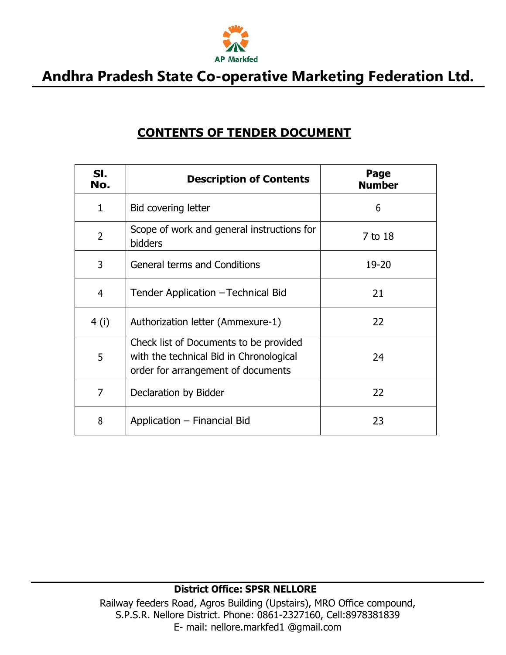

### **CONTENTS OF TENDER DOCUMENT**

| SI.<br>No.     | <b>Description of Contents</b>                                                                                          | Page<br><b>Number</b> |
|----------------|-------------------------------------------------------------------------------------------------------------------------|-----------------------|
| 1              | Bid covering letter                                                                                                     | 6                     |
| $\overline{2}$ | Scope of work and general instructions for<br><b>bidders</b>                                                            | 7 to 18               |
| 3              | <b>General terms and Conditions</b>                                                                                     | 19-20                 |
| 4              | Tender Application - Technical Bid                                                                                      | 21                    |
| 4(i)           | Authorization letter (Ammexure-1)                                                                                       | 22                    |
| 5              | Check list of Documents to be provided<br>with the technical Bid in Chronological<br>order for arrangement of documents | 24                    |
| 7              | Declaration by Bidder                                                                                                   | 22                    |
| 8              | Application - Financial Bid                                                                                             | 23                    |

#### **District Office: SPSR NELLORE**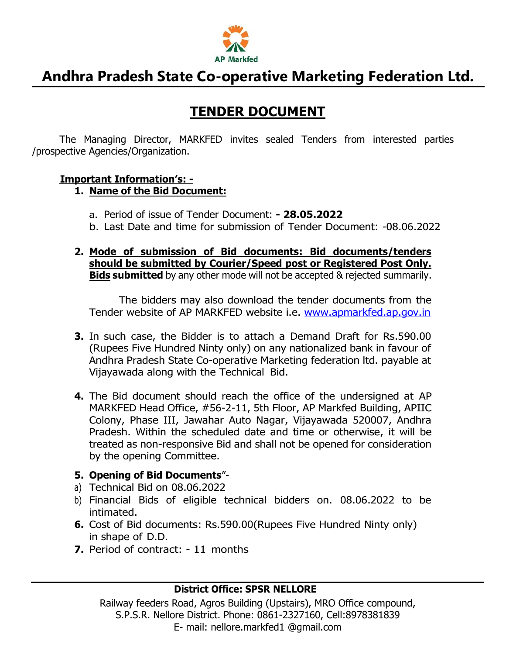

### **TENDER DOCUMENT**

The Managing Director, MARKFED invites sealed Tenders from interested parties /prospective Agencies/Organization.

#### **Important Information's: -**

#### **1. Name of the Bid Document:**

- a. Period of issue of Tender Document: **- 28.05.2022**
- b. Last Date and time for submission of Tender Document: -08.06.2022
- **2. Mode of submission of Bid documents: Bid documents/tenders should be submitted by Courier/Speed post or Registered Post Only. Bids submitted** by any other mode will not be accepted & rejected summarily.

The bidders may also download the tender documents from the Tender website of AP MARKFED website i.e. [www.apmarkfed.ap.gov.in](http://www.apmarkfed.ap.gov.in/)

- **3.** In such case, the Bidder is to attach a Demand Draft for Rs.590.00 (Rupees Five Hundred Ninty only) on any nationalized bank in favour of Andhra Pradesh State Co-operative Marketing federation ltd. payable at Vijayawada along with the Technical Bid.
- **4.** The Bid document should reach the office of the undersigned at AP MARKFED Head Office, #56-2-11, 5th Floor, AP Markfed Building, APIIC Colony, Phase III, Jawahar Auto Nagar, Vijayawada 520007, Andhra Pradesh. Within the scheduled date and time or otherwise, it will be treated as non-responsive Bid and shall not be opened for consideration by the opening Committee.

#### **5. Opening of Bid Documents**"-

- a) Technical Bid on 08.06.2022
- b) Financial Bids of eligible technical bidders on. 08.06.2022 to be intimated.
- **6.** Cost of Bid documents: Rs.590.00(Rupees Five Hundred Ninty only) in shape of D.D.
- **7.** Period of contract: 11 months

#### **District Office: SPSR NELLORE**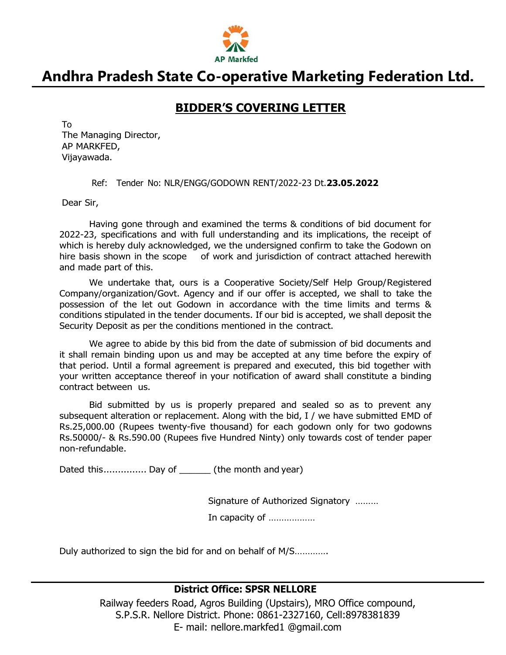

### **BIDDER'S COVERING LETTER**

To The Managing Director, AP MARKFED, Vijayawada.

Ref: Tender No: NLR/ENGG/GODOWN RENT/2022-23 Dt.**23.05.2022**

Dear Sir,

Having gone through and examined the terms & conditions of bid document for 2022-23, specifications and with full understanding and its implications, the receipt of which is hereby duly acknowledged, we the undersigned confirm to take the Godown on hire basis shown in the scope of work and jurisdiction of contract attached herewith and made part of this.

We undertake that, ours is a Cooperative Society/Self Help Group/Registered Company/organization/Govt. Agency and if our offer is accepted, we shall to take the possession of the let out Godown in accordance with the time limits and terms & conditions stipulated in the tender documents. If our bid is accepted, we shall deposit the Security Deposit as per the conditions mentioned in the contract.

We agree to abide by this bid from the date of submission of bid documents and it shall remain binding upon us and may be accepted at any time before the expiry of that period. Until a formal agreement is prepared and executed, this bid together with your written acceptance thereof in your notification of award shall constitute a binding contract between us.

Bid submitted by us is properly prepared and sealed so as to prevent any subsequent alteration or replacement. Along with the bid, I / we have submitted EMD of Rs.25,000.00 (Rupees twenty-five thousand) for each godown only for two godowns Rs.50000/- & Rs.590.00 (Rupees five Hundred Ninty) only towards cost of tender paper non-refundable.

Dated this................ Day of (the month and year)

Signature of Authorized Signatory ………

In capacity of ………………

Duly authorized to sign the bid for and on behalf of M/S………….

#### **District Office: SPSR NELLORE**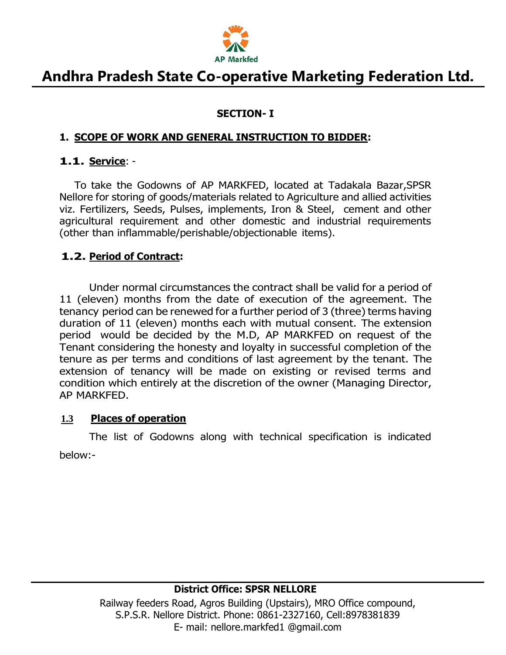

#### **SECTION- I**

#### **1. SCOPE OF WORK AND GENERAL INSTRUCTION TO BIDDER:**

#### **1.1. Service**: -

To take the Godowns of AP MARKFED, located at Tadakala Bazar,SPSR Nellore for storing of goods/materials related to Agriculture and allied activities viz. Fertilizers, Seeds, Pulses, implements, Iron & Steel, cement and other agricultural requirement and other domestic and industrial requirements (other than inflammable/perishable/objectionable items).

#### **1.2. Period of Contract:**

Under normal circumstances the contract shall be valid for a period of 11 (eleven) months from the date of execution of the agreement. The tenancy period can be renewed for a further period of 3 (three) terms having duration of 11 (eleven) months each with mutual consent. The extension period would be decided by the M.D, AP MARKFED on request of the Tenant considering the honesty and loyalty in successful completion of the tenure as per terms and conditions of last agreement by the tenant. The extension of tenancy will be made on existing or revised terms and condition which entirely at the discretion of the owner (Managing Director, AP MARKFED.

#### **1.3 Places of operation**

The list of Godowns along with technical specification is indicated below:-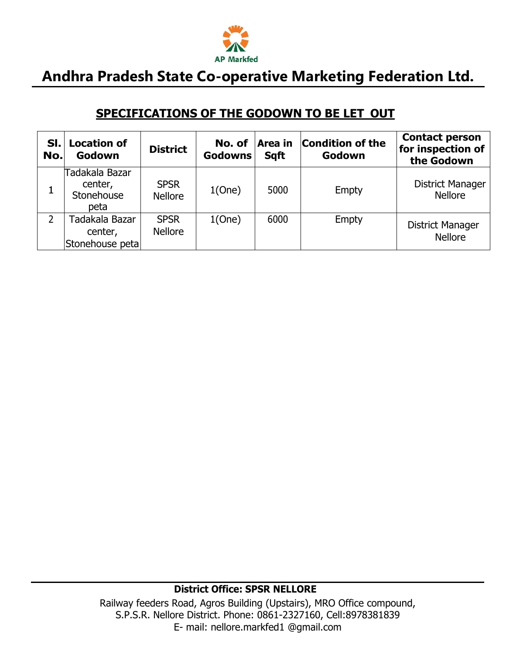

### **SPECIFICATIONS OF THE GODOWN TO BE LET OUT**

| SI.<br>No. | <b>Location of</b><br>Godown                    | <b>District</b>               | No. of<br><b>Godowns</b> | Area in<br><b>Sqft</b> | <b>Condition of the</b><br>Godown | <b>Contact person</b><br>for inspection of<br>the Godown |
|------------|-------------------------------------------------|-------------------------------|--------------------------|------------------------|-----------------------------------|----------------------------------------------------------|
|            | Tadakala Bazar<br>center,<br>Stonehouse<br>peta | <b>SPSR</b><br><b>Nellore</b> | 1(One)                   | 5000                   | Empty                             | <b>District Manager</b><br><b>Nellore</b>                |
|            | Tadakala Bazar<br>center,<br>Stonehouse petal   | <b>SPSR</b><br><b>Nellore</b> | 1(One)                   | 6000                   | Empty                             | <b>District Manager</b><br><b>Nellore</b>                |

#### **District Office: SPSR NELLORE**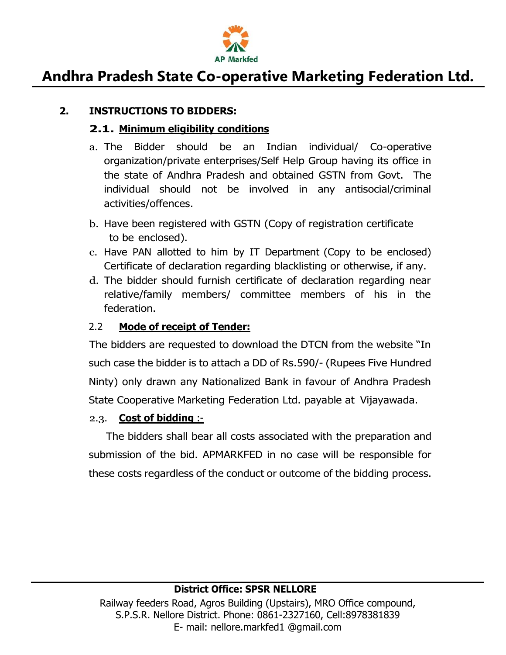

#### **2. INSTRUCTIONS TO BIDDERS:**

#### **2.1. Minimum eligibility conditions**

- a. The Bidder should be an Indian individual/ Co-operative organization/private enterprises/Self Help Group having its office in the state of Andhra Pradesh and obtained GSTN from Govt. The individual should not be involved in any antisocial/criminal activities/offences.
- b. Have been registered with GSTN (Copy of registration certificate to be enclosed).
- c. Have PAN allotted to him by IT Department (Copy to be enclosed) Certificate of declaration regarding blacklisting or otherwise, if any.
- d. The bidder should furnish certificate of declaration regarding near relative/family members/ committee members of his in the federation.

#### 2.2 **Mode of receipt of Tender:**

The bidders are requested to download the DTCN from the website "In such case the bidder is to attach a DD of Rs.590/- (Rupees Five Hundred Ninty) only drawn any Nationalized Bank in favour of Andhra Pradesh State Cooperative Marketing Federation Ltd. payable at Vijayawada.

#### 2.3. **Cost of bidding** :-

The bidders shall bear all costs associated with the preparation and submission of the bid. APMARKFED in no case will be responsible for these costs regardless of the conduct or outcome of the bidding process.

#### **District Office: SPSR NELLORE**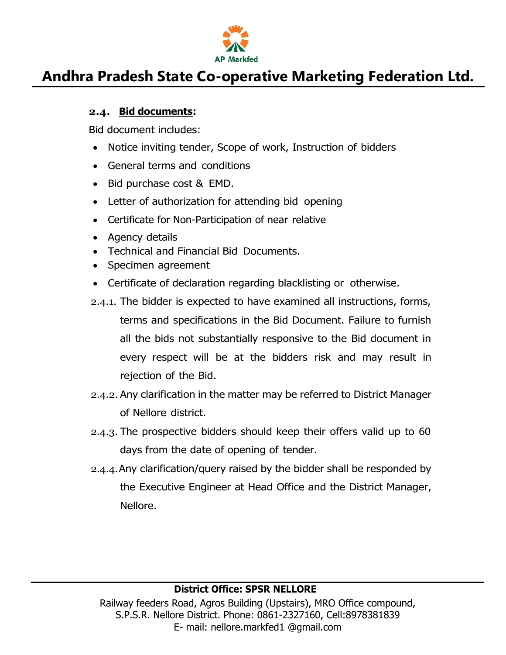

#### **2.4. Bid documents:**

Bid document includes:

- Notice inviting tender, Scope of work, Instruction of bidders
- General terms and conditions
- Bid purchase cost & EMD.
- Letter of authorization for attending bid opening
- Certificate for Non-Participation of near relative
- Agency details
- Technical and Financial Bid Documents.
- Specimen agreement
- Certificate of declaration regarding blacklisting or otherwise.
- 2.4.1. The bidder is expected to have examined all instructions, forms, terms and specifications in the Bid Document. Failure to furnish all the bids not substantially responsive to the Bid document in every respect will be at the bidders risk and may result in rejection of the Bid.
- 2.4.2. Any clarification in the matter may be referred to District Manager of Nellore district.
- 2.4.3. The prospective bidders should keep their offers valid up to 60 days from the date of opening of tender.
- 2.4.4.Any clarification/query raised by the bidder shall be responded by the Executive Engineer at Head Office and the District Manager, Nellore.

#### **District Office: SPSR NELLORE**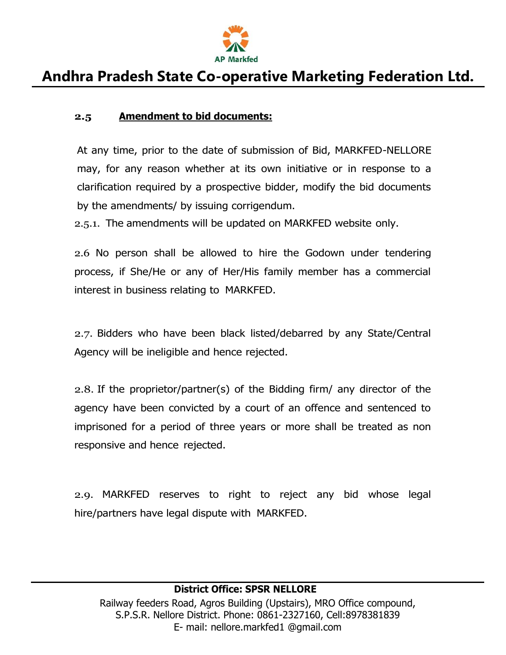

#### **2.5 Amendment to bid documents:**

At any time, prior to the date of submission of Bid, MARKFED-NELLORE may, for any reason whether at its own initiative or in response to a clarification required by a prospective bidder, modify the bid documents by the amendments/ by issuing corrigendum.

2.5.1. The amendments will be updated on MARKFED website only.

2.6 No person shall be allowed to hire the Godown under tendering process, if She/He or any of Her/His family member has a commercial interest in business relating to MARKFED.

2.7. Bidders who have been black listed/debarred by any State/Central Agency will be ineligible and hence rejected.

2.8. If the proprietor/partner(s) of the Bidding firm/ any director of the agency have been convicted by a court of an offence and sentenced to imprisoned for a period of three years or more shall be treated as non responsive and hence rejected.

2.9. MARKFED reserves to right to reject any bid whose legal hire/partners have legal dispute with MARKFED.

#### **District Office: SPSR NELLORE**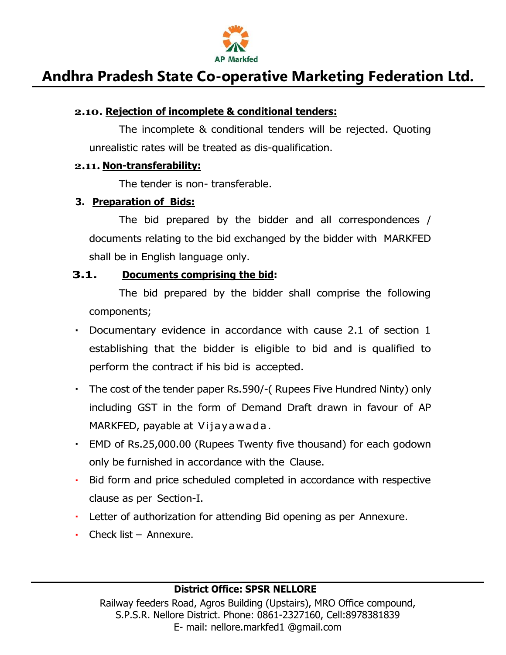

#### **2.10. Rejection of incomplete & conditional tenders:**

The incomplete & conditional tenders will be rejected. Quoting unrealistic rates will be treated as dis-qualification.

#### **2.11. Non-transferability:**

The tender is non- transferable.

#### **3. Preparation of Bids:**

The bid prepared by the bidder and all correspondences / documents relating to the bid exchanged by the bidder with MARKFED shall be in English language only.

#### **3.1. Documents comprising the bid:**

The bid prepared by the bidder shall comprise the following components;

- Documentary evidence in accordance with cause 2.1 of section 1 establishing that the bidder is eligible to bid and is qualified to perform the contract if his bid is accepted.
- The cost of the tender paper Rs.590/-( Rupees Five Hundred Ninty) only including GST in the form of Demand Draft drawn in favour of AP MARKFED, payable at Vijayawada .
- EMD of Rs.25,000.00 (Rupees Twenty five thousand) for each godown only be furnished in accordance with the Clause.
- Bid form and price scheduled completed in accordance with respective clause as per Section-I.
- Letter of authorization for attending Bid opening as per Annexure.
- Check list Annexure.

#### **District Office: SPSR NELLORE**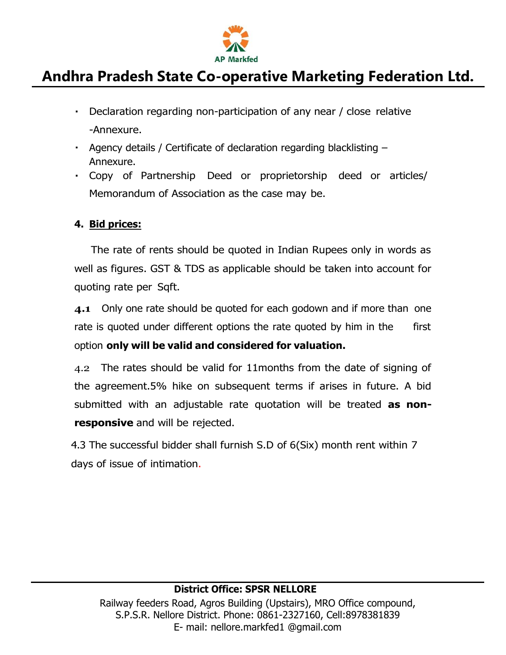

- Declaration regarding non-participation of any near / close relative -Annexure.
- Agency details / Certificate of declaration regarding blacklisting Annexure.
- Copy of Partnership Deed or proprietorship deed or articles/ Memorandum of Association as the case may be.

#### **4. Bid prices:**

The rate of rents should be quoted in Indian Rupees only in words as well as figures. GST & TDS as applicable should be taken into account for quoting rate per Sqft.

**4.1** Only one rate should be quoted for each godown and if more than one rate is quoted under different options the rate quoted by him in the first option **only will be valid and considered for valuation.**

4.2 The rates should be valid for 11months from the date of signing of the agreement.5% hike on subsequent terms if arises in future. A bid submitted with an adjustable rate quotation will be treated **as nonresponsive** and will be rejected.

4.3 The successful bidder shall furnish S.D of 6(Six) month rent within 7 days of issue of intimation.

#### **District Office: SPSR NELLORE**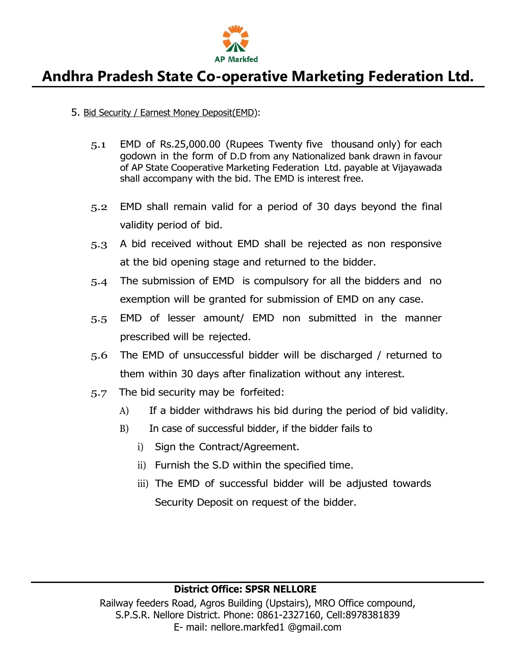

#### 5. Bid Security / Earnest Money Deposit(EMD):

- 5.1 EMD of Rs.25,000.00 (Rupees Twenty five thousand only) for each godown in the form of D.D from any Nationalized bank drawn in favour of AP State Cooperative Marketing Federation Ltd. payable at Vijayawada shall accompany with the bid. The EMD is interest free.
- 5.2 EMD shall remain valid for a period of 30 days beyond the final validity period of bid.
- 5.3 A bid received without EMD shall be rejected as non responsive at the bid opening stage and returned to the bidder.
- 5.4 The submission of EMD is compulsory for all the bidders and no exemption will be granted for submission of EMD on any case.
- 5.5 EMD of lesser amount/ EMD non submitted in the manner prescribed will be rejected.
- 5.6 The EMD of unsuccessful bidder will be discharged / returned to them within 30 days after finalization without any interest.
- 5.7 The bid security may be forfeited:
	- A) If a bidder withdraws his bid during the period of bid validity.
	- B) In case of successful bidder, if the bidder fails to
		- i) Sign the Contract/Agreement.
		- ii) Furnish the S.D within the specified time.
		- iii) The EMD of successful bidder will be adjusted towards Security Deposit on request of the bidder.

#### **District Office: SPSR NELLORE**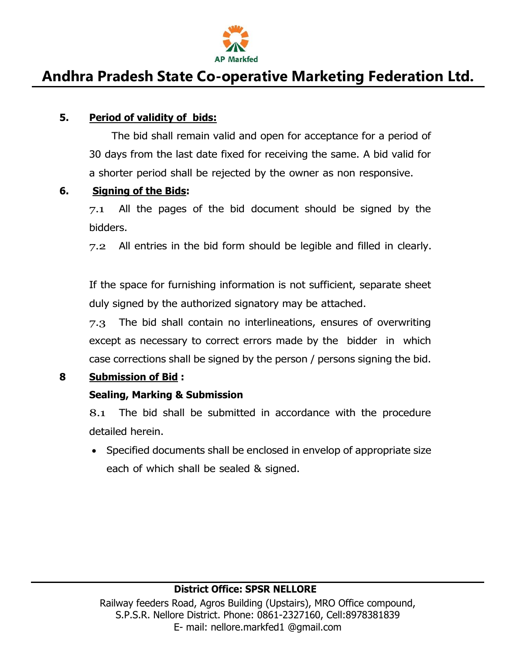

#### **5. Period of validity of bids:**

The bid shall remain valid and open for acceptance for a period of 30 days from the last date fixed for receiving the same. A bid valid for a shorter period shall be rejected by the owner as non responsive.

#### **6. Signing of the Bids:**

 $7.1$  All the pages of the bid document should be signed by the bidders.

7.2 All entries in the bid form should be legible and filled in clearly.

If the space for furnishing information is not sufficient, separate sheet duly signed by the authorized signatory may be attached.

7.3 The bid shall contain no interlineations, ensures of overwriting except as necessary to correct errors made by the bidder in which case corrections shall be signed by the person / persons signing the bid.

#### **8 Submission of Bid :**

#### **Sealing, Marking & Submission**

8.1 The bid shall be submitted in accordance with the procedure detailed herein.

• Specified documents shall be enclosed in envelop of appropriate size each of which shall be sealed & signed.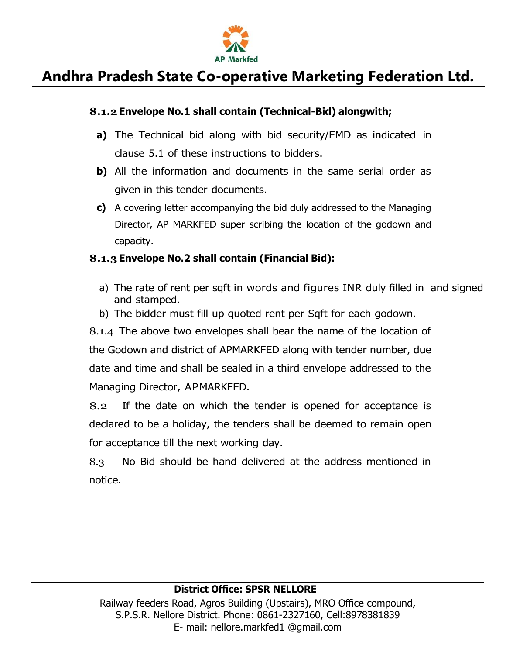

#### **8.1.2Envelope No.1 shall contain (Technical-Bid) alongwith;**

- **a)** The Technical bid along with bid security/EMD as indicated in clause 5.1 of these instructions to bidders.
- **b)** All the information and documents in the same serial order as given in this tender documents.
- **c)** A covering letter accompanying the bid duly addressed to the Managing Director, AP MARKFED super scribing the location of the godown and capacity.

#### **8.1.3Envelope No.2 shall contain (Financial Bid):**

- a) The rate of rent per sqft in words and figures INR duly filled in and signed and stamped.
- b) The bidder must fill up quoted rent per Sqft for each godown.

8.1.4 The above two envelopes shall bear the name of the location of the Godown and district of APMARKFED along with tender number, due date and time and shall be sealed in a third envelope addressed to the Managing Director, APMARKFED.

8.2 If the date on which the tender is opened for acceptance is declared to be a holiday, the tenders shall be deemed to remain open for acceptance till the next working day.

8.3 No Bid should be hand delivered at the address mentioned in notice.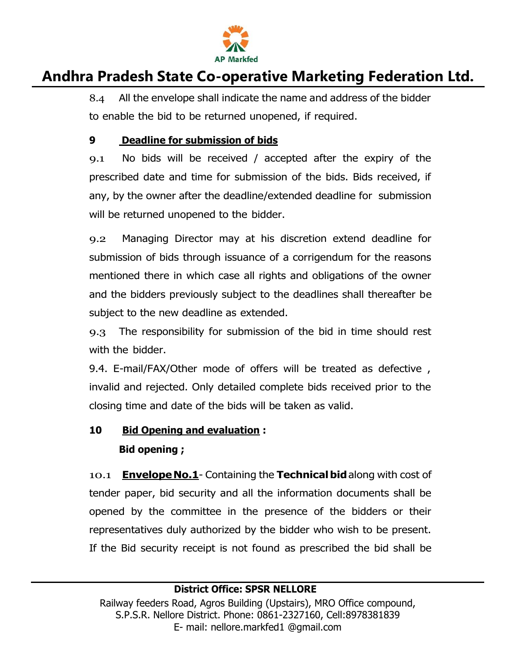

8.4 All the envelope shall indicate the name and address of the bidder to enable the bid to be returned unopened, if required.

#### **9 Deadline for submission of bids**

9.1 No bids will be received / accepted after the expiry of the prescribed date and time for submission of the bids. Bids received, if any, by the owner after the deadline/extended deadline for submission will be returned unopened to the bidder.

9.2 Managing Director may at his discretion extend deadline for submission of bids through issuance of a corrigendum for the reasons mentioned there in which case all rights and obligations of the owner and the bidders previously subject to the deadlines shall thereafter be subject to the new deadline as extended.

9.3 The responsibility for submission of the bid in time should rest with the bidder.

9.4. E-mail/FAX/Other mode of offers will be treated as defective , invalid and rejected. Only detailed complete bids received prior to the closing time and date of the bids will be taken as valid.

### **10 Bid Opening and evaluation : Bid opening ;**

10.1 **EnvelopeNo.1**- Containing the **Technicalbid**along with cost of tender paper, bid security and all the information documents shall be opened by the committee in the presence of the bidders or their representatives duly authorized by the bidder who wish to be present. If the Bid security receipt is not found as prescribed the bid shall be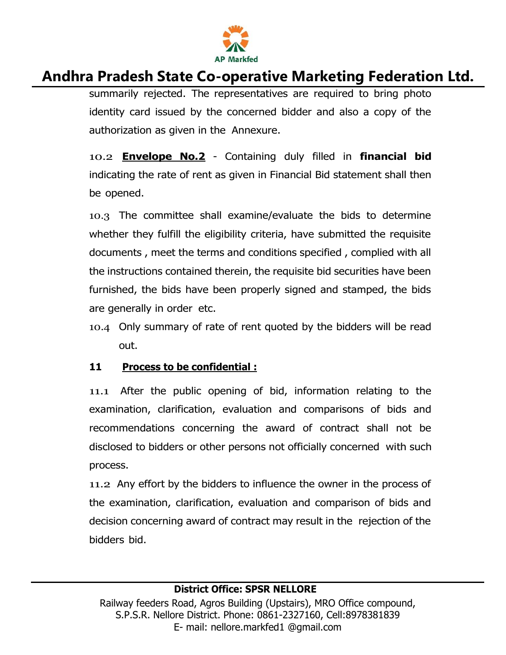

summarily rejected. The representatives are required to bring photo identity card issued by the concerned bidder and also a copy of the authorization as given in the Annexure.

10.2 **Envelope No.2** - Containing duly filled in **financial bid**  indicating the rate of rent as given in Financial Bid statement shall then be opened.

10.3 The committee shall examine/evaluate the bids to determine whether they fulfill the eligibility criteria, have submitted the requisite documents , meet the terms and conditions specified , complied with all the instructions contained therein, the requisite bid securities have been furnished, the bids have been properly signed and stamped, the bids are generally in order etc.

10.4 Only summary of rate of rent quoted by the bidders will be read out.

#### **11 Process to be confidential :**

11.1 After the public opening of bid, information relating to the examination, clarification, evaluation and comparisons of bids and recommendations concerning the award of contract shall not be disclosed to bidders or other persons not officially concerned with such process.

11.2 Any effort by the bidders to influence the owner in the process of the examination, clarification, evaluation and comparison of bids and decision concerning award of contract may result in the rejection of the bidders bid.

#### **District Office: SPSR NELLORE**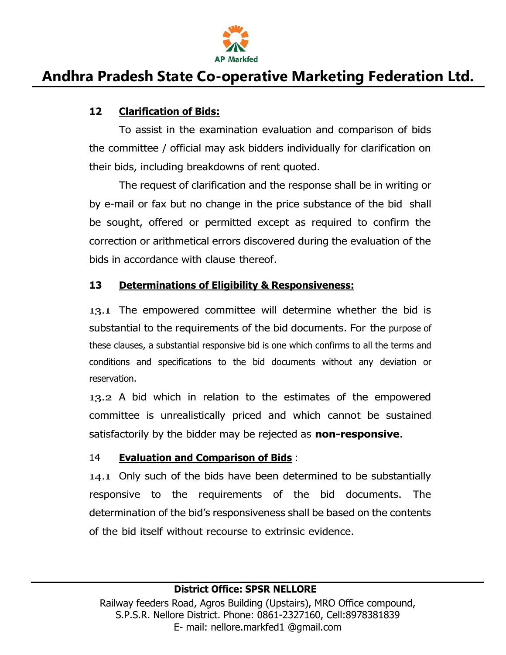

#### **12 Clarification of Bids:**

To assist in the examination evaluation and comparison of bids the committee / official may ask bidders individually for clarification on their bids, including breakdowns of rent quoted.

The request of clarification and the response shall be in writing or by e-mail or fax but no change in the price substance of the bid shall be sought, offered or permitted except as required to confirm the correction or arithmetical errors discovered during the evaluation of the bids in accordance with clause thereof.

#### **13 Determinations of Eligibility & Responsiveness:**

13.1 The empowered committee will determine whether the bid is substantial to the requirements of the bid documents. For the purpose of these clauses, a substantial responsive bid is one which confirms to all the terms and conditions and specifications to the bid documents without any deviation or reservation.

13.2 A bid which in relation to the estimates of the empowered committee is unrealistically priced and which cannot be sustained satisfactorily by the bidder may be rejected as **non-responsive**.

#### 14 **Evaluation and Comparison of Bids** :

14.1 Only such of the bids have been determined to be substantially responsive to the requirements of the bid documents. The determination of the bid's responsiveness shall be based on the contents of the bid itself without recourse to extrinsic evidence.

#### **District Office: SPSR NELLORE**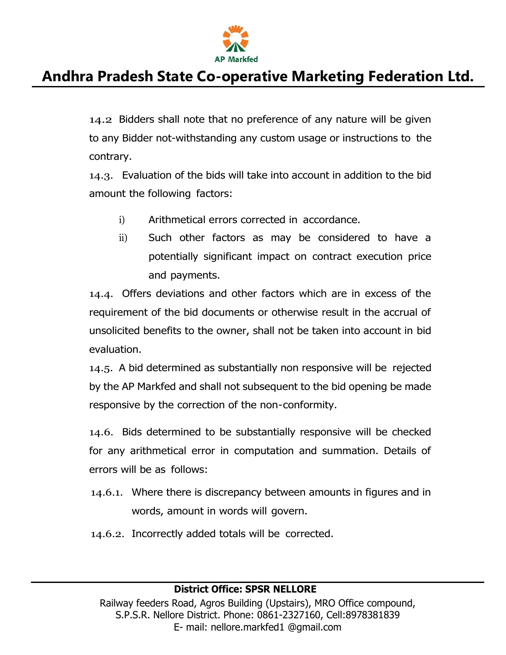

14.2 Bidders shall note that no preference of any nature will be given to any Bidder not-withstanding any custom usage or instructions to the contrary.

14.3. Evaluation of the bids will take into account in addition to the bid amount the following factors:

- i) Arithmetical errors corrected in accordance.
- ii) Such other factors as may be considered to have a potentially significant impact on contract execution price and payments.

14.4. Offers deviations and other factors which are in excess of the requirement of the bid documents or otherwise result in the accrual of unsolicited benefits to the owner, shall not be taken into account in bid evaluation.

14.5. A bid determined as substantially non responsive will be rejected by the AP Markfed and shall not subsequent to the bid opening be made responsive by the correction of the non-conformity.

14.6. Bids determined to be substantially responsive will be checked for any arithmetical error in computation and summation. Details of errors will be as follows:

- 14.6.1. Where there is discrepancy between amounts in figures and in words, amount in words will govern.
- 14.6.2. Incorrectly added totals will be corrected.

#### **District Office: SPSR NELLORE**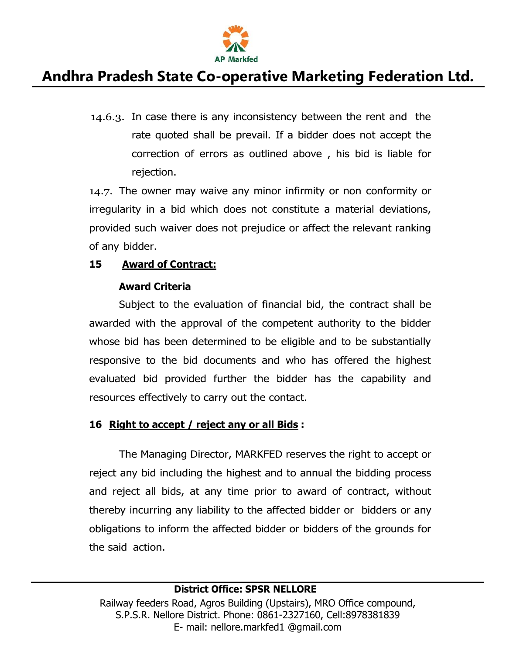

14.6.3. In case there is any inconsistency between the rent and the rate quoted shall be prevail. If a bidder does not accept the correction of errors as outlined above , his bid is liable for rejection.

14.7. The owner may waive any minor infirmity or non conformity or irregularity in a bid which does not constitute a material deviations, provided such waiver does not prejudice or affect the relevant ranking of any bidder.

#### **15 Award of Contract:**

#### **Award Criteria**

Subject to the evaluation of financial bid, the contract shall be awarded with the approval of the competent authority to the bidder whose bid has been determined to be eligible and to be substantially responsive to the bid documents and who has offered the highest evaluated bid provided further the bidder has the capability and resources effectively to carry out the contact.

#### **16 Right to accept / reject any or all Bids :**

The Managing Director, MARKFED reserves the right to accept or reject any bid including the highest and to annual the bidding process and reject all bids, at any time prior to award of contract, without thereby incurring any liability to the affected bidder or bidders or any obligations to inform the affected bidder or bidders of the grounds for the said action.

#### **District Office: SPSR NELLORE**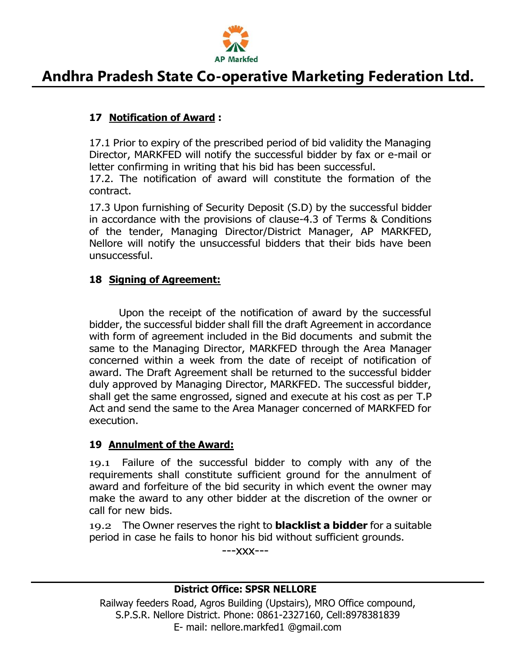

#### **17 Notification of Award :**

17.1 Prior to expiry of the prescribed period of bid validity the Managing Director, MARKFED will notify the successful bidder by fax or e-mail or letter confirming in writing that his bid has been successful.

17.2. The notification of award will constitute the formation of the contract.

17.3 Upon furnishing of Security Deposit (S.D) by the successful bidder in accordance with the provisions of clause-4.3 of Terms & Conditions of the tender, Managing Director/District Manager, AP MARKFED, Nellore will notify the unsuccessful bidders that their bids have been unsuccessful.

#### **18 Signing of Agreement:**

Upon the receipt of the notification of award by the successful bidder, the successful bidder shall fill the draft Agreement in accordance with form of agreement included in the Bid documents and submit the same to the Managing Director, MARKFED through the Area Manager concerned within a week from the date of receipt of notification of award. The Draft Agreement shall be returned to the successful bidder duly approved by Managing Director, MARKFED. The successful bidder, shall get the same engrossed, signed and execute at his cost as per T.P Act and send the same to the Area Manager concerned of MARKFED for execution.

#### **19 Annulment of the Award:**

19.1 Failure of the successful bidder to comply with any of the requirements shall constitute sufficient ground for the annulment of award and forfeiture of the bid security in which event the owner may make the award to any other bidder at the discretion of the owner or call for new bids.

19.2 The Owner reserves the right to **blacklist a bidder** for a suitable period in case he fails to honor his bid without sufficient grounds.

---xxx---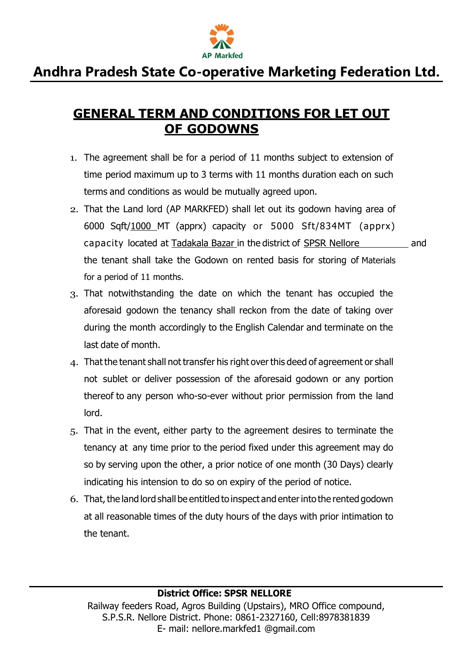

### **GENERAL TERM AND CONDITIONS FOR LET OUT OF GODOWNS**

- 1. The agreement shall be for a period of 11 months subject to extension of time period maximum up to 3 terms with 11 months duration each on such terms and conditions as would be mutually agreed upon.
- 2. That the Land lord (AP MARKFED) shall let out its godown having area of 6000 Sqft/1000 MT (apprx) capacity or 5000 Sft/834MT (apprx) capacity located at Tadakala Bazar in the district of SPSR Nellore and the tenant shall take the Godown on rented basis for storing of Materials for a period of 11 months.
- 3. That notwithstanding the date on which the tenant has occupied the aforesaid godown the tenancy shall reckon from the date of taking over during the month accordingly to the English Calendar and terminate on the last date of month.
- 4. That the tenant shall not transfer his right overthis deed of agreement or shall not sublet or deliver possession of the aforesaid godown or any portion thereof to any person who-so-ever without prior permission from the land lord.
- 5. That in the event, either party to the agreement desires to terminate the tenancy at any time prior to the period fixed under this agreement may do so by serving upon the other, a prior notice of one month (30 Days) clearly indicating his intension to do so on expiry of the period of notice.
- 6. That, the land lord shall be entitled to inspect and enter into the rented godown at all reasonable times of the duty hours of the days with prior intimation to the tenant.

#### **District Office: SPSR NELLORE**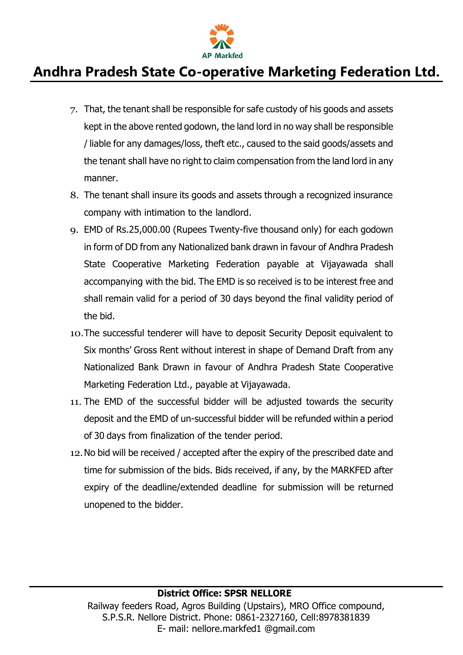

- 7. That, the tenant shall be responsible for safe custody of his goods and assets kept in the above rented godown, the land lord in no way shall be responsible / liable for any damages/loss, theft etc., caused to the said goods/assets and the tenant shall have no right to claim compensation from the land lord in any manner.
- 8. The tenant shall insure its goods and assets through a recognized insurance company with intimation to the landlord.
- 9. EMD of Rs.25,000.00 (Rupees Twenty-five thousand only) for each godown in form of DD from any Nationalized bank drawn in favour of Andhra Pradesh State Cooperative Marketing Federation payable at Vijayawada shall accompanying with the bid. The EMD is so received is to be interest free and shall remain valid for a period of 30 days beyond the final validity period of the bid.
- 10.The successful tenderer will have to deposit Security Deposit equivalent to Six months' Gross Rent without interest in shape of Demand Draft from any Nationalized Bank Drawn in favour of Andhra Pradesh State Cooperative Marketing Federation Ltd., payable at Vijayawada.
- 11. The EMD of the successful bidder will be adjusted towards the security deposit and the EMD of un-successful bidder will be refunded within a period of 30 days from finalization of the tender period.
- 12.No bid will be received / accepted after the expiry of the prescribed date and time for submission of the bids. Bids received, if any, by the MARKFED after expiry of the deadline/extended deadline for submission will be returned unopened to the bidder.

#### **District Office: SPSR NELLORE**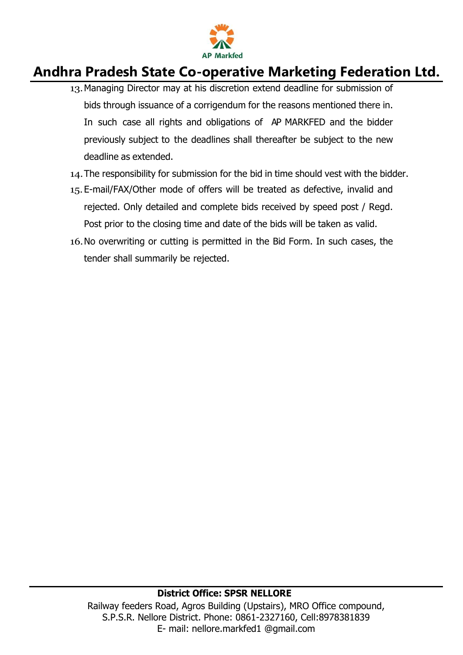

- 13.Managing Director may at his discretion extend deadline for submission of bids through issuance of a corrigendum for the reasons mentioned there in. In such case all rights and obligations of AP MARKFED and the bidder previously subject to the deadlines shall thereafter be subject to the new deadline as extended.
- 14.The responsibility for submission for the bid in time should vest with the bidder.
- 15. E-mail/FAX/Other mode of offers will be treated as defective, invalid and rejected. Only detailed and complete bids received by speed post / Regd. Post prior to the closing time and date of the bids will be taken as valid.
- 16.No overwriting or cutting is permitted in the Bid Form. In such cases, the tender shall summarily be rejected.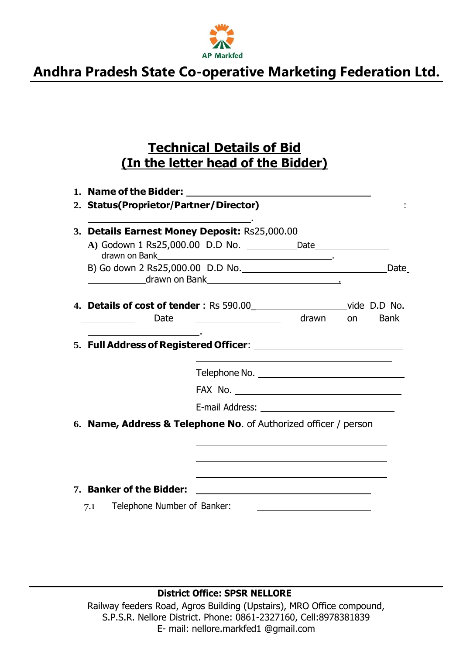

### **Technical Details of Bid (In the letter head of the Bidder)**

| 2. Status(Proprietor/Partner/Director)                                       |                                                                                                                                                                                                                                      |                                                                                                                       |     |             |
|------------------------------------------------------------------------------|--------------------------------------------------------------------------------------------------------------------------------------------------------------------------------------------------------------------------------------|-----------------------------------------------------------------------------------------------------------------------|-----|-------------|
| 3. Details Earnest Money Deposit: Rs25,000.00                                |                                                                                                                                                                                                                                      |                                                                                                                       |     |             |
|                                                                              |                                                                                                                                                                                                                                      |                                                                                                                       |     |             |
|                                                                              | drawn on Bank <u>and a state of the state of the state of the state of the state of the state of the state of the state of the state of the state of the state of the state of the state of the state of the state of the state </u> |                                                                                                                       |     | Date        |
| 4. Details of cost of tender: Rs 590.00_________________________vide D.D No. |                                                                                                                                                                                                                                      |                                                                                                                       |     |             |
| Date                                                                         |                                                                                                                                                                                                                                      | drawn                                                                                                                 | on. | <b>Bank</b> |
|                                                                              |                                                                                                                                                                                                                                      |                                                                                                                       |     |             |
|                                                                              |                                                                                                                                                                                                                                      |                                                                                                                       |     |             |
|                                                                              |                                                                                                                                                                                                                                      |                                                                                                                       |     |             |
|                                                                              |                                                                                                                                                                                                                                      |                                                                                                                       |     |             |
| 6. Name, Address & Telephone No. of Authorized officer / person              |                                                                                                                                                                                                                                      |                                                                                                                       |     |             |
|                                                                              |                                                                                                                                                                                                                                      |                                                                                                                       |     |             |
|                                                                              |                                                                                                                                                                                                                                      |                                                                                                                       |     |             |
| 7. Banker of the Bidder:                                                     |                                                                                                                                                                                                                                      | <u>and the state of the state of the state of the state of the state of the state of the state of the state of th</u> |     |             |
| Telephone Number of Banker:<br>7.1                                           |                                                                                                                                                                                                                                      |                                                                                                                       |     |             |

**District Office: SPSR NELLORE**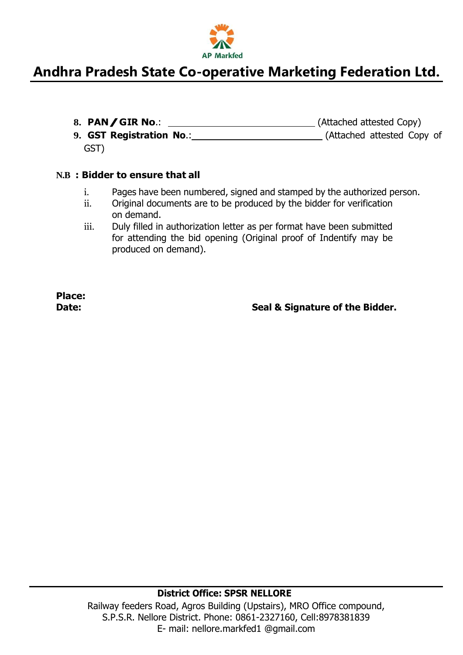

- 8. **PAN/GIR No.:** \_\_\_\_\_\_\_\_\_\_\_\_\_\_\_\_\_\_\_\_\_\_\_\_\_\_\_\_\_\_\_\_\_\_(Attached attested Copy)
- **9. GST Registration No**.: (Attached attested Copy of GST)

#### **N.B : Bidder to ensure that all**

- i. Pages have been numbered, signed and stamped by the authorized person.
- ii. Original documents are to be produced by the bidder for verification on demand.
- iii. Duly filled in authorization letter as per format have been submitted for attending the bid opening (Original proof of Indentify may be produced on demand).

**Place:**

**Date: Seal & Signature of the Bidder.**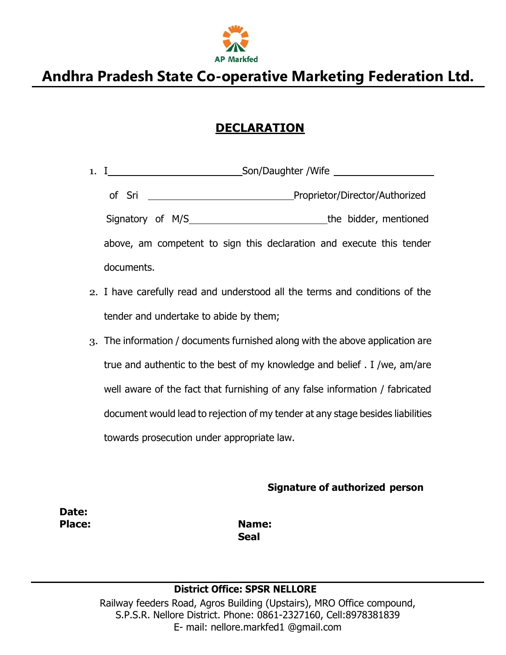

### **DECLARATION**

| 1. I                                                                                                          |                                                                      | Son/Daughter /Wife |                                |                       |
|---------------------------------------------------------------------------------------------------------------|----------------------------------------------------------------------|--------------------|--------------------------------|-----------------------|
| of Sri the control of the state of the state of the state of the state of the state of the state of the state |                                                                      |                    | Proprietor/Director/Authorized |                       |
|                                                                                                               |                                                                      |                    |                                | the bidder, mentioned |
|                                                                                                               | above, am competent to sign this declaration and execute this tender |                    |                                |                       |
| documents.                                                                                                    |                                                                      |                    |                                |                       |

- 2. I have carefully read and understood all the terms and conditions of the tender and undertake to abide by them;
- 3. The information / documents furnished along with the above application are true and authentic to the best of my knowledge and belief . I /we, am/are well aware of the fact that furnishing of any false information / fabricated document would lead to rejection of my tender at any stage besides liabilities towards prosecution under appropriate law.

**Signature of authorized person**

**Date:**

**Place: Name: Seal**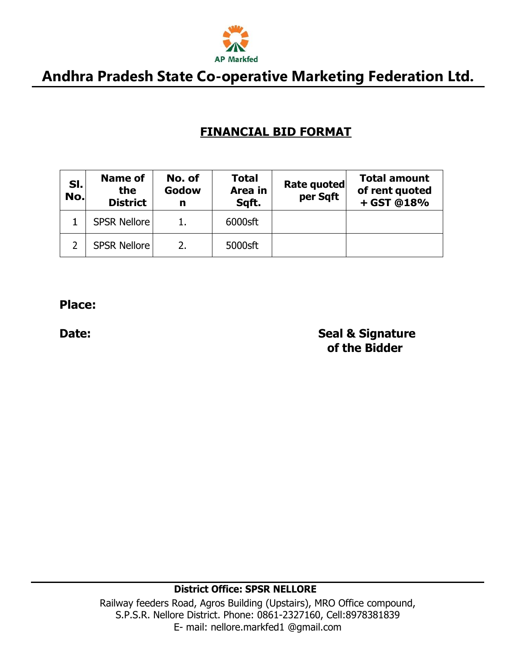

### **FINANCIAL BID FORMAT**

| SI.<br>No. | Name of<br>the<br><b>District</b> | No. of<br>Godow<br>n | <b>Total</b><br>Area in<br>Sqft. | Rate quoted<br>per Sqft | <b>Total amount</b><br>of rent quoted<br>+ GST @18% |
|------------|-----------------------------------|----------------------|----------------------------------|-------------------------|-----------------------------------------------------|
|            | <b>SPSR Nellore</b>               |                      | 6000sft                          |                         |                                                     |
|            | <b>SPSR Nellore</b>               |                      | 5000sft                          |                         |                                                     |

#### **Place:**

**Date: Seal & Signature of the Bidder**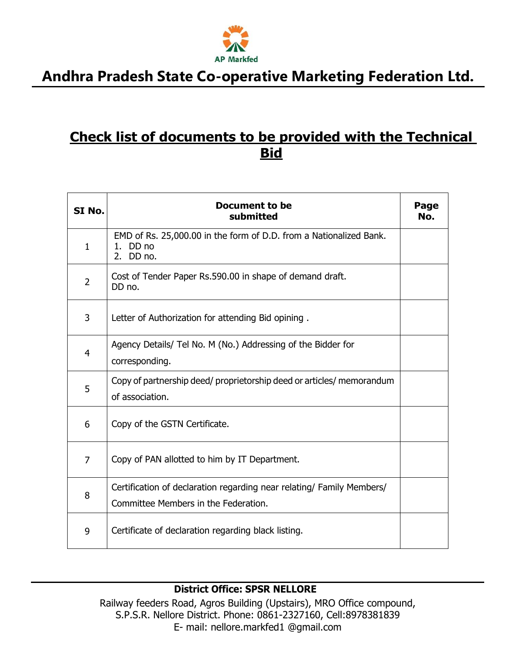

### **Check list of documents to be provided with the Technical Bid**

| SI No.         | Document to be<br>submitted                                                                                   | Page<br>No. |
|----------------|---------------------------------------------------------------------------------------------------------------|-------------|
| $\mathbf{1}$   | EMD of Rs. 25,000.00 in the form of D.D. from a Nationalized Bank.<br>1. DD no<br>DD no.<br>2.                |             |
| $\overline{2}$ | Cost of Tender Paper Rs.590.00 in shape of demand draft.<br>DD no.                                            |             |
| 3              | Letter of Authorization for attending Bid opining.                                                            |             |
| 4              | Agency Details/ Tel No. M (No.) Addressing of the Bidder for<br>corresponding.                                |             |
| 5              | Copy of partnership deed/ proprietorship deed or articles/ memorandum<br>of association.                      |             |
| 6              | Copy of the GSTN Certificate.                                                                                 |             |
| $\overline{7}$ | Copy of PAN allotted to him by IT Department.                                                                 |             |
| 8              | Certification of declaration regarding near relating/ Family Members/<br>Committee Members in the Federation. |             |
| 9              | Certificate of declaration regarding black listing.                                                           |             |

#### **District Office: SPSR NELLORE**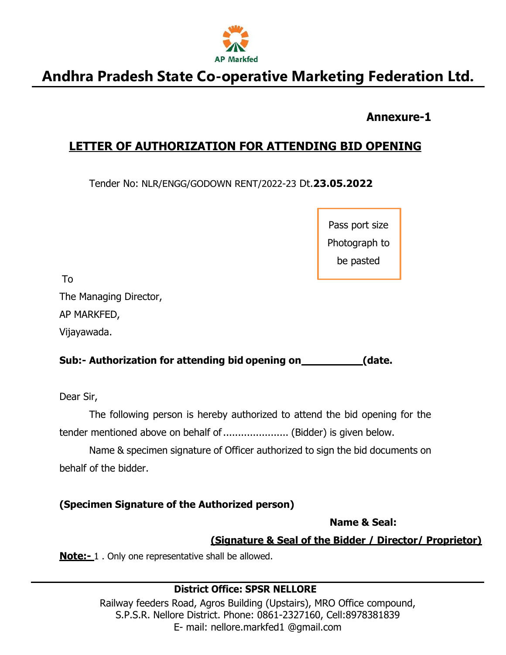

### **Annexure-1**

### **LETTER OF AUTHORIZATION FOR ATTENDING BID OPENING**

Tender No: NLR/ENGG/GODOWN RENT/2022-23 Dt.**23.05.2022**

Pass port size Photograph to be pasted

To

The Managing Director,

AP MARKFED,

Vijayawada.

### **Sub:- Authorization for attending bid opening on (date.**

Dear Sir,

The following person is hereby authorized to attend the bid opening for the tender mentioned above on behalf of ....................... (Bidder) is given below.

Name & specimen signature of Officer authorized to sign the bid documents on behalf of the bidder.

### **(Specimen Signature of the Authorized person)**

**Name & Seal:**

### **(Signature & Seal of the Bidder / Director/ Proprietor)**

**Note:-** 1 . Only one representative shall be allowed.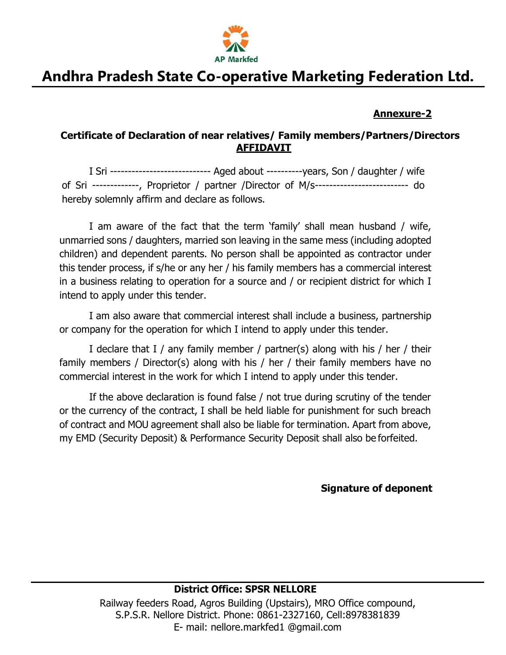

#### **Annexure-2**

#### **Certificate of Declaration of near relatives/ Family members/Partners/Directors AFFIDAVIT**

I Sri ---------------------------- Aged about ----------years, Son / daughter / wife of Sri -------------, Proprietor / partner /Director of M/s-------------------------- do hereby solemnly affirm and declare as follows.

I am aware of the fact that the term 'family' shall mean husband / wife, unmarried sons / daughters, married son leaving in the same mess (including adopted children) and dependent parents. No person shall be appointed as contractor under this tender process, if s/he or any her / his family members has a commercial interest in a business relating to operation for a source and / or recipient district for which I intend to apply under this tender.

I am also aware that commercial interest shall include a business, partnership or company for the operation for which I intend to apply under this tender.

I declare that I / any family member / partner(s) along with his / her / their family members / Director(s) along with his / her / their family members have no commercial interest in the work for which I intend to apply under this tender.

If the above declaration is found false / not true during scrutiny of the tender or the currency of the contract, I shall be held liable for punishment for such breach of contract and MOU agreement shall also be liable for termination. Apart from above, my EMD (Security Deposit) & Performance Security Deposit shall also be forfeited.

**Signature of deponent**